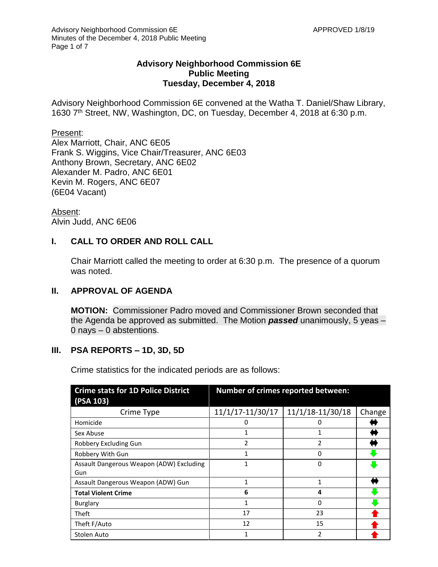### **Advisory Neighborhood Commission 6E Public Meeting Tuesday, December 4, 2018**

Advisory Neighborhood Commission 6E convened at the Watha T. Daniel/Shaw Library, 1630 7<sup>th</sup> Street, NW, Washington, DC, on Tuesday, December 4, 2018 at 6:30 p.m.

#### Present:

Alex Marriott, Chair, ANC 6E05 Frank S. Wiggins, Vice Chair/Treasurer, ANC 6E03 Anthony Brown, Secretary, ANC 6E02 Alexander M. Padro, ANC 6E01 Kevin M. Rogers, ANC 6E07 (6E04 Vacant)

Absent: Alvin Judd, ANC 6E06

### **I. CALL TO ORDER AND ROLL CALL**

Chair Marriott called the meeting to order at 6:30 p.m. The presence of a quorum was noted.

### **II. APPROVAL OF AGENDA**

**MOTION:** Commissioner Padro moved and Commissioner Brown seconded that the Agenda be approved as submitted. The Motion *passed* unanimously, 5 yeas – 0 nays – 0 abstentions.

### **III. PSA REPORTS – 1D, 3D, 5D**

Crime statistics for the indicated periods are as follows:

| <b>Crime stats for 1D Police District</b><br>(PSA 103) | <b>Number of crimes reported between:</b> |                  |        |
|--------------------------------------------------------|-------------------------------------------|------------------|--------|
| Crime Type                                             | 11/1/17-11/30/17                          | 11/1/18-11/30/18 | Change |
| Homicide                                               | 0                                         | 0                |        |
| Sex Abuse                                              |                                           |                  |        |
| Robbery Excluding Gun                                  | $\mathfrak z$                             | $\mathfrak z$    |        |
| Robbery With Gun                                       |                                           | 0                |        |
| Assault Dangerous Weapon (ADW) Excluding               | 1                                         | 0                |        |
| Gun                                                    |                                           |                  |        |
| Assault Dangerous Weapon (ADW) Gun                     | 1                                         | 1                |        |
| <b>Total Violent Crime</b>                             | 6                                         | 4                |        |
| <b>Burglary</b>                                        | 1                                         | 0                |        |
| Theft                                                  | 17                                        | 23               |        |
| Theft F/Auto                                           | 12                                        | 15               |        |
| Stolen Auto                                            |                                           | 2                |        |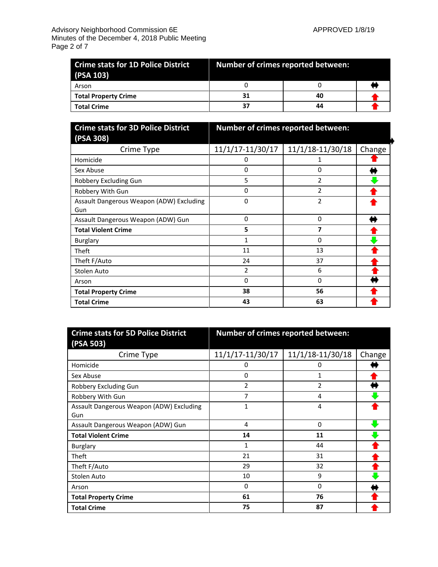| (PSA 103)                   | <b>Crime stats for 1D Police District Community Community Progress</b> Pumber of crimes reported between: |    |  |
|-----------------------------|-----------------------------------------------------------------------------------------------------------|----|--|
| Arson                       |                                                                                                           |    |  |
| <b>Total Property Crime</b> | 31                                                                                                        | 40 |  |
| <b>Total Crime</b>          | 37                                                                                                        | 44 |  |

| <b>Crime stats for 3D Police District</b>       | Number of crimes reported between: |                  |        |
|-------------------------------------------------|------------------------------------|------------------|--------|
| (PSA 308)                                       |                                    |                  |        |
| Crime Type                                      | 11/1/17-11/30/17                   | 11/1/18-11/30/18 | Change |
| Homicide                                        | 0                                  |                  |        |
| Sex Abuse                                       | 0                                  | 0                |        |
| Robbery Excluding Gun                           | 5                                  | 2                |        |
| Robbery With Gun                                | 0                                  | 2                |        |
| Assault Dangerous Weapon (ADW) Excluding<br>Gun | 0                                  | $\overline{2}$   |        |
| Assault Dangerous Weapon (ADW) Gun              | 0                                  | 0                |        |
| <b>Total Violent Crime</b>                      | 5                                  | 7                |        |
| <b>Burglary</b>                                 | 1                                  | 0                |        |
| Theft                                           | 11                                 | 13               |        |
| Theft F/Auto                                    | 24                                 | 37               |        |
| Stolen Auto                                     | 2                                  | 6                |        |
| Arson                                           | 0                                  | 0                |        |
| <b>Total Property Crime</b>                     | 38                                 | 56               |        |
| <b>Total Crime</b>                              | 43                                 | 63               |        |

| <b>Crime stats for 5D Police District</b><br>(PSA 503) | Number of crimes reported between: |                  |        |
|--------------------------------------------------------|------------------------------------|------------------|--------|
| Crime Type                                             | 11/1/17-11/30/17                   | 11/1/18-11/30/18 | Change |
| Homicide                                               | 0                                  | 0                |        |
| Sex Abuse                                              | 0                                  | 1                |        |
| Robbery Excluding Gun                                  | 2                                  | 2                |        |
| Robbery With Gun                                       | 7                                  | 4                |        |
| Assault Dangerous Weapon (ADW) Excluding               | 1                                  | 4                |        |
| Gun                                                    |                                    |                  |        |
| Assault Dangerous Weapon (ADW) Gun                     | 4                                  | $\Omega$         |        |
| <b>Total Violent Crime</b>                             | 14                                 | 11               |        |
| <b>Burglary</b>                                        | 1                                  | 44               |        |
| <b>Theft</b>                                           | 21                                 | 31               |        |
| Theft F/Auto                                           | 29                                 | 32               |        |
| Stolen Auto                                            | 10                                 | 9                |        |
| Arson                                                  | 0                                  | $\Omega$         |        |
| <b>Total Property Crime</b>                            | 61                                 | 76               |        |
| <b>Total Crime</b>                                     | 75                                 | 87               |        |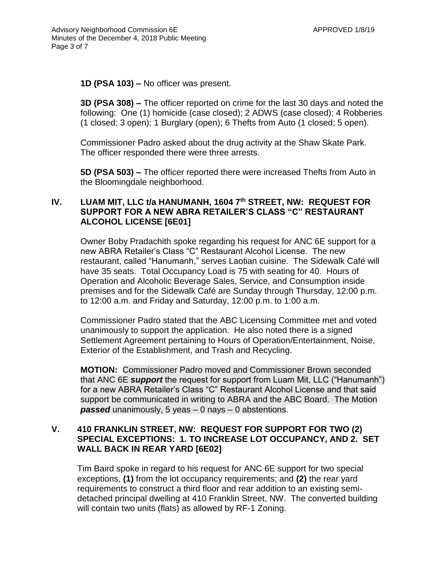**1D (PSA 103) –** No officer was present.

**3D (PSA 308) –** The officer reported on crime for the last 30 days and noted the following: One (1) homicide (case closed); 2 ADWS (case closed); 4 Robberies (1 closed; 3 open); 1 Burglary (open); 6 Thefts from Auto (1 closed; 5 open).

Commissioner Padro asked about the drug activity at the Shaw Skate Park. The officer responded there were three arrests.

**5D (PSA 503) –** The officer reported there were increased Thefts from Auto in the Bloomingdale neighborhood.

# **IV. LUAM MIT, LLC t/a HANUMANH, 1604 7th STREET, NW: REQUEST FOR SUPPORT FOR A NEW ABRA RETAILER'S CLASS "C" RESTAURANT ALCOHOL LICENSE [6E01]**

Owner Boby Pradachith spoke regarding his request for ANC 6E support for a new ABRA Retailer's Class "C" Restaurant Alcohol License. The new restaurant, called "Hanumanh," serves Laotian cuisine. The Sidewalk Café will have 35 seats. Total Occupancy Load is 75 with seating for 40. Hours of Operation and Alcoholic Beverage Sales, Service, and Consumption inside premises and for the Sidewalk Café are Sunday through Thursday, 12:00 p.m. to 12:00 a.m. and Friday and Saturday, 12:00 p.m. to 1:00 a.m.

Commissioner Padro stated that the ABC Licensing Committee met and voted unanimously to support the application. He also noted there is a signed Settlement Agreement pertaining to Hours of Operation/Entertainment, Noise, Exterior of the Establishment, and Trash and Recycling.

**MOTION:** Commissioner Padro moved and Commissioner Brown seconded that ANC 6E *support* the request for support from Luam Mit, LLC ("Hanumanh") for a new ABRA Retailer's Class "C" Restaurant Alcohol License and that said support be communicated in writing to ABRA and the ABC Board. The Motion *passed* unanimously, 5 yeas – 0 nays – 0 abstentions.

# **V. 410 FRANKLIN STREET, NW: REQUEST FOR SUPPORT FOR TWO (2) SPECIAL EXCEPTIONS: 1. TO INCREASE LOT OCCUPANCY, AND 2. SET WALL BACK IN REAR YARD [6E02]**

Tim Baird spoke in regard to his request for ANC 6E support for two special exceptions, **(1)** from the lot occupancy requirements; and **(2)** the rear yard requirements to construct a third floor and rear addition to an existing semidetached principal dwelling at 410 Franklin Street, NW. The converted building will contain two units (flats) as allowed by RF-1 Zoning.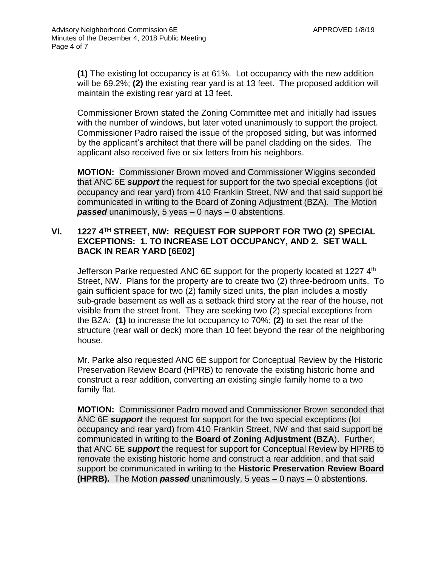**(1)** The existing lot occupancy is at 61%. Lot occupancy with the new addition will be 69.2%; **(2)** the existing rear yard is at 13 feet. The proposed addition will maintain the existing rear yard at 13 feet.

Commissioner Brown stated the Zoning Committee met and initially had issues with the number of windows, but later voted unanimously to support the project. Commissioner Padro raised the issue of the proposed siding, but was informed by the applicant's architect that there will be panel cladding on the sides. The applicant also received five or six letters from his neighbors.

**MOTION:** Commissioner Brown moved and Commissioner Wiggins seconded that ANC 6E *support* the request for support for the two special exceptions (lot occupancy and rear yard) from 410 Franklin Street, NW and that said support be communicated in writing to the Board of Zoning Adjustment (BZA). The Motion *passed* unanimously, 5 yeas – 0 nays – 0 abstentions.

# **VI. 1227 4 TH STREET, NW: REQUEST FOR SUPPORT FOR TWO (2) SPECIAL EXCEPTIONS: 1. TO INCREASE LOT OCCUPANCY, AND 2. SET WALL BACK IN REAR YARD [6E02]**

Jefferson Parke requested ANC 6E support for the property located at 1227 4<sup>th</sup> Street, NW. Plans for the property are to create two (2) three-bedroom units. To gain sufficient space for two (2) family sized units, the plan includes a mostly sub-grade basement as well as a setback third story at the rear of the house, not visible from the street front. They are seeking two (2) special exceptions from the BZA: **(1)** to increase the lot occupancy to 70%; **(2)** to set the rear of the structure (rear wall or deck) more than 10 feet beyond the rear of the neighboring house.

Mr. Parke also requested ANC 6E support for Conceptual Review by the Historic Preservation Review Board (HPRB) to renovate the existing historic home and construct a rear addition, converting an existing single family home to a two family flat.

**MOTION:** Commissioner Padro moved and Commissioner Brown seconded that ANC 6E *support* the request for support for the two special exceptions (lot occupancy and rear yard) from 410 Franklin Street, NW and that said support be communicated in writing to the **Board of Zoning Adjustment (BZA**). Further, that ANC 6E *support* the request for support for Conceptual Review by HPRB to renovate the existing historic home and construct a rear addition, and that said support be communicated in writing to the **Historic Preservation Review Board (HPRB).** The Motion *passed* unanimously, 5 yeas – 0 nays – 0 abstentions.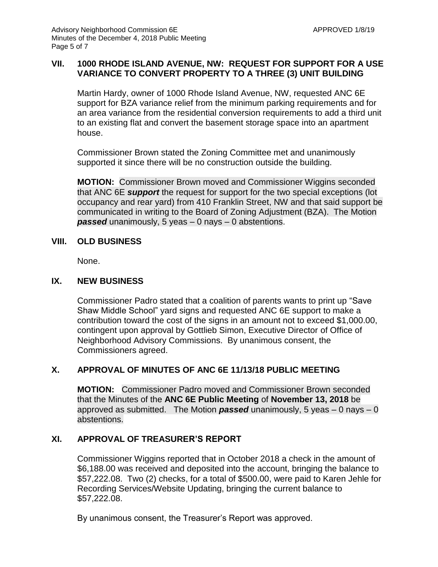# **VII. 1000 RHODE ISLAND AVENUE, NW: REQUEST FOR SUPPORT FOR A USE VARIANCE TO CONVERT PROPERTY TO A THREE (3) UNIT BUILDING**

Martin Hardy, owner of 1000 Rhode Island Avenue, NW, requested ANC 6E support for BZA variance relief from the minimum parking requirements and for an area variance from the residential conversion requirements to add a third unit to an existing flat and convert the basement storage space into an apartment house.

Commissioner Brown stated the Zoning Committee met and unanimously supported it since there will be no construction outside the building.

**MOTION:** Commissioner Brown moved and Commissioner Wiggins seconded that ANC 6E *support* the request for support for the two special exceptions (lot occupancy and rear yard) from 410 Franklin Street, NW and that said support be communicated in writing to the Board of Zoning Adjustment (BZA). The Motion *passed* unanimously, 5 yeas – 0 nays – 0 abstentions.

### **VIII. OLD BUSINESS**

None.

## **IX. NEW BUSINESS**

Commissioner Padro stated that a coalition of parents wants to print up "Save Shaw Middle School" yard signs and requested ANC 6E support to make a contribution toward the cost of the signs in an amount not to exceed \$1,000.00, contingent upon approval by Gottlieb Simon, Executive Director of Office of Neighborhood Advisory Commissions. By unanimous consent, the Commissioners agreed.

# **X. APPROVAL OF MINUTES OF ANC 6E 11/13/18 PUBLIC MEETING**

**MOTION:** Commissioner Padro moved and Commissioner Brown seconded that the Minutes of the **ANC 6E Public Meeting** of **November 13, 2018** be approved as submitted. The Motion *passed* unanimously, 5 yeas – 0 nays – 0 abstentions.

# **XI. APPROVAL OF TREASURER'S REPORT**

Commissioner Wiggins reported that in October 2018 a check in the amount of \$6,188.00 was received and deposited into the account, bringing the balance to \$57,222.08. Two (2) checks, for a total of \$500.00, were paid to Karen Jehle for Recording Services/Website Updating, bringing the current balance to \$57,222.08.

By unanimous consent, the Treasurer's Report was approved.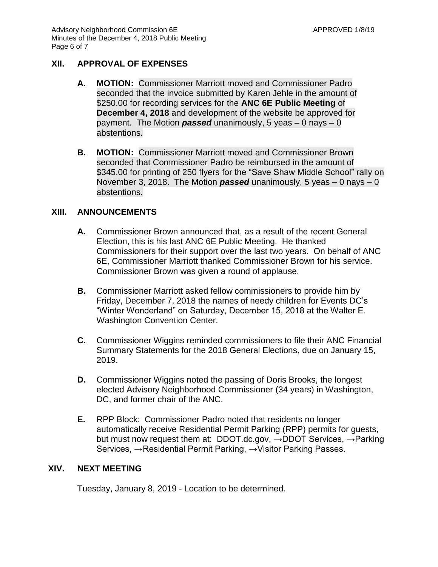#### **XII. APPROVAL OF EXPENSES**

- **A. MOTION:** Commissioner Marriott moved and Commissioner Padro seconded that the invoice submitted by Karen Jehle in the amount of \$250.00 for recording services for the **ANC 6E Public Meeting** of **December 4, 2018** and development of the website be approved for payment. The Motion *passed* unanimously, 5 yeas – 0 nays – 0 abstentions.
- **B. MOTION:** Commissioner Marriott moved and Commissioner Brown seconded that Commissioner Padro be reimbursed in the amount of \$345.00 for printing of 250 flyers for the "Save Shaw Middle School" rally on November 3, 2018. The Motion *passed* unanimously, 5 yeas – 0 nays – 0 abstentions.

#### **XIII. ANNOUNCEMENTS**

- **A.** Commissioner Brown announced that, as a result of the recent General Election, this is his last ANC 6E Public Meeting. He thanked Commissioners for their support over the last two years. On behalf of ANC 6E, Commissioner Marriott thanked Commissioner Brown for his service. Commissioner Brown was given a round of applause.
- **B.** Commissioner Marriott asked fellow commissioners to provide him by Friday, December 7, 2018 the names of needy children for Events DC's "Winter Wonderland" on Saturday, December 15, 2018 at the Walter E. Washington Convention Center.
- **C.** Commissioner Wiggins reminded commissioners to file their ANC Financial Summary Statements for the 2018 General Elections, due on January 15, 2019.
- **D.** Commissioner Wiggins noted the passing of Doris Brooks, the longest elected Advisory Neighborhood Commissioner (34 years) in Washington, DC, and former chair of the ANC.
- **E.** RPP Block: Commissioner Padro noted that residents no longer automatically receive Residential Permit Parking (RPP) permits for guests, but must now request them at: DDOT.dc.gov, →DDOT Services, →Parking Services, →Residential Permit Parking, →Visitor Parking Passes.

#### **XIV. NEXT MEETING**

Tuesday, January 8, 2019 - Location to be determined.